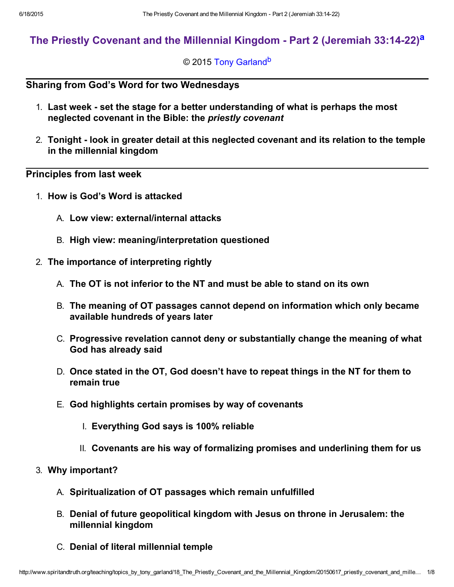# The Priestly Coven[a](#page-6-0)nt and the Millennial Kingdom - Part 2 (Jeremiah 33:14-22)<sup>a</sup>

## <span id="page-0-1"></span><span id="page-0-0"></span>© 2015 [Tony Garland](http://www.spiritandtruth.org/id/tg.htm)<sup>[b](#page-7-0)</sup>

# Sharing from God's Word for two Wednesdays

- 1. Last week set the stage for a better understanding of what is perhaps the most neglected covenant in the Bible: the priestly covenant
- 2. Tonight look in greater detail at this neglected covenant and its relation to the temple in the millennial kingdom

# Principles from last week

- 1. How is God's Word is attacked
	- A. Low view: external/internal attacks
	- B. High view: meaning/interpretation questioned
- 2. The importance of interpreting rightly
	- A. The OT is not inferior to the NT and must be able to stand on its own
	- B. The meaning of OT passages cannot depend on information which only became available hundreds of years later
	- C. Progressive revelation cannot deny or substantially change the meaning of what God has already said
	- D. Once stated in the OT, God doesn't have to repeat things in the NT for them to remain true
	- E. God highlights certain promises by way of covenants
		- I. Everything God says is 100% reliable
		- II. Covenants are his way of formalizing promises and underlining them for us
- 3. Why important?
	- A. Spiritualization of OT passages which remain unfulfilled
	- B. Denial of future geopolitical kingdom with Jesus on throne in Jerusalem: the millennial kingdom
	- C. Denial of literal millennial temple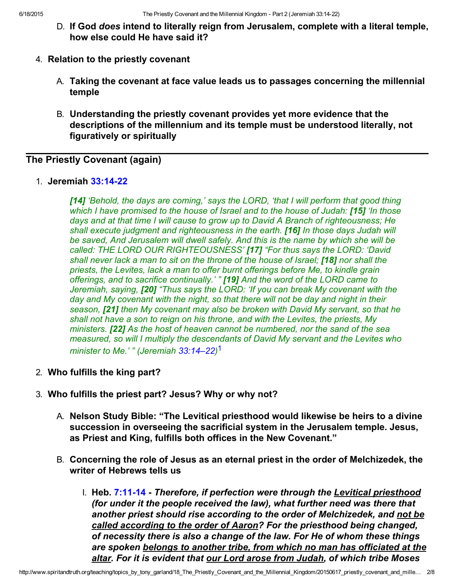- D. If God does intend to literally reign from Jerusalem, complete with a literal temple, how else could He have said it?
- 4. Relation to the priestly covenant
	- A. Taking the covenant at face value leads us to passages concerning the millennial temple
	- B. Understanding the priestly covenant provides yet more evidence that the descriptions of the millennium and its temple must be understood literally, not figuratively or spiritually

# The Priestly Covenant (again)

1. Jeremiah 33:14-22

[14] 'Behold, the days are coming,' says the LORD, 'that I will perform that good thing which I have promised to the house of Israel and to the house of Judah: **[15]** 'In those days and at that time I will cause to grow up to David A Branch of righteousness; He shall execute judgment and righteousness in the earth. [16] In those days Judah will be saved, And Jerusalem will dwell safely. And this is the name by which she will be called: THE LORD OUR RIGHTEOUSNESS' [17] "For thus says the LORD: 'David shall never lack a man to sit on the throne of the house of Israel; [18] nor shall the priests, the Levites, lack a man to offer burnt offerings before Me, to kindle grain offerings, and to sacrifice continually.' " [19] And the word of the LORD came to Jeremiah, saying, [20] "Thus says the LORD: 'If you can break My covenant with the day and My covenant with the night, so that there will not be day and night in their season, [21] then My covenant may also be broken with David My servant, so that he shall not have a son to reign on his throne, and with the Levites, the priests, My ministers. **[22]** As the host of heaven cannot be numbered, nor the sand of the sea measured, so will I multiply the descendants of David My servant and the Levites who minister to Me.' " (Jeremiah [33:14–22\)](http://www.spiritandtruth.org/bibles/nasb/b24c033.htm#Jer._C33V14) [1](#page-6-1)

- <span id="page-1-0"></span>2. Who fulfills the king part?
- 3. Who fulfills the priest part? Jesus? Why or why not?
	- A. Nelson Study Bible: "The Levitical priesthood would likewise be heirs to a divine succession in overseeing the sacrificial system in the Jerusalem temple. Jesus, as Priest and King, fulfills both offices in the New Covenant."
	- B. Concerning the role of Jesus as an eternal priest in the order of Melchizedek, the writer of Hebrews tells us
		- I. Heb. 7:11-14 Therefore, if perfection were through the Levitical priesthood (for under it the people received the law), what further need was there that another priest should rise according to the order of Melchizedek, and not be called according to the order of Aaron? For the priesthood being changed, of necessity there is also a change of the law. For He of whom these things are spoken belongs to another tribe, from which no man has officiated at the altar. For it is evident that our Lord arose from Judah, of which tribe Moses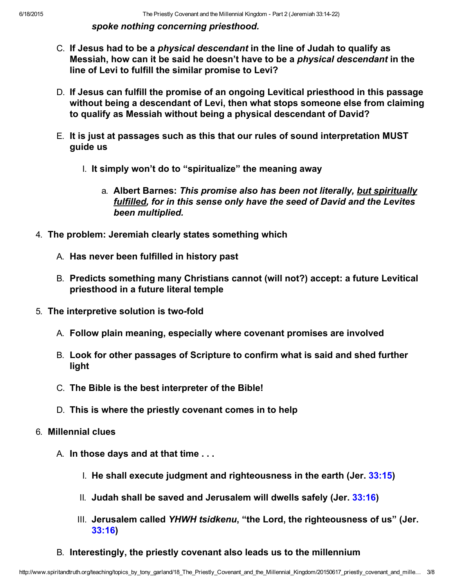spoke nothing concerning priesthood.

- C. If Jesus had to be a physical descendant in the line of Judah to qualify as Messiah, how can it be said he doesn't have to be a physical descendant in the line of Levi to fulfill the similar promise to Levi?
- D. If Jesus can fulfill the promise of an ongoing Levitical priesthood in this passage without being a descendant of Levi, then what stops someone else from claiming to qualify as Messiah without being a physical descendant of David?
- E. It is just at passages such as this that our rules of sound interpretation MUST guide us
	- I. It simply won't do to "spiritualize" the meaning away
		- a. Albert Barnes: This promise also has been not literally, but spiritually fulfilled, for in this sense only have the seed of David and the Levites been multiplied.
- 4. The problem: Jeremiah clearly states something which
	- A. Has never been fulfilled in history past
	- B. Predicts something many Christians cannot (will not?) accept: a future Levitical priesthood in a future literal temple
- 5. The interpretive solution is two-fold
	- A. Follow plain meaning, especially where covenant promises are involved
	- B. Look for other passages of Scripture to confirm what is said and shed further light
	- C. The Bible is the best interpreter of the Bible!
	- D. This is where the priestly covenant comes in to help
- 6. Millennial clues
	- A. In those days and at that time . . .
		- I. He shall execute judgment and righteousness in the earth (Jer. [33:15](http://www.spiritandtruth.org/bibles/nasb/b24c033.htm#Jer._C33V15))
		- II. Judah shall be saved and Jerusalem will dwells safely (Jer.  $33:16$ )
		- III. Jerusalem called YHWH tsidkenu, "the Lord, the righteousness of us" (Jer. [33:16](http://www.spiritandtruth.org/bibles/nasb/b24c033.htm#Jer._C33V16))
	- B. Interestingly, the priestly covenant also leads us to the millennium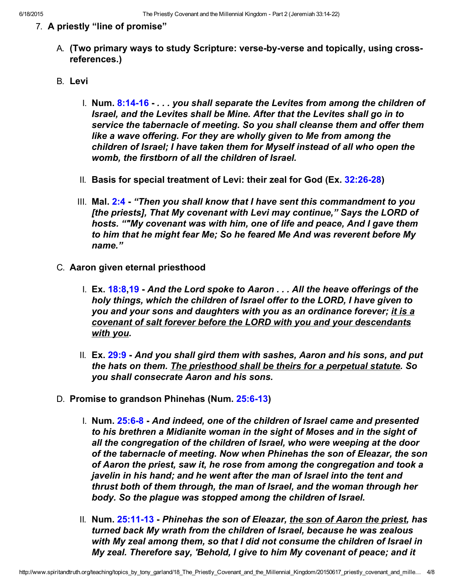## 7. A priestly "line of promise"

- A. (Two primary ways to study Scripture: verse-by-verse and topically, using crossreferences.)
- B. Levi
	- I. Num. 8:14-16 . . . you shall separate the Levites from among the children of Israel, and the Levites shall be Mine. After that the Levites shall go in to service the tabernacle of meeting. So you shall cleanse them and offer them like a wave offering. For they are wholly given to Me from among the children of Israel; I have taken them for Myself instead of all who open the womb, the firstborn of all the children of Israel.
	- II. Basis for special treatment of Levi: their zeal for God (Ex. 32:26-28)
	- III. Mal. [2:4](http://www.spiritandtruth.org/bibles/nasb/b39c002.htm#Mal._C2V4) "Then you shall know that I have sent this commandment to you [the priests], That My covenant with Levi may continue," Says the LORD of hosts. ""My covenant was with him, one of life and peace, And I gave them to him that he might fear Me; So he feared Me And was reverent before My name."
- C. Aaron given eternal priesthood
	- I. Ex. 18:8.[19](http://www.spiritandtruth.org/bibles/nasb/b02c018.htm#Ex._C18V19)  And the Lord spoke to Aaron . . . All the heave offerings of the holy things, which the children of Israel offer to the LORD, I have given to you and your sons and daughters with you as an ordinance forever; it is a covenant of salt forever before the LORD with you and your descendants with you.
	- II.  $Ex. 29:9$  And you shall gird them with sashes, Aaron and his sons, and put the hats on them. The priesthood shall be theirs for a perpetual statute. So you shall consecrate Aaron and his sons.
- D. Promise to grandson Phinehas (Num. 25:6-13)
	- I. Num. 25:6-8 And indeed, one of the children of Israel came and presented to his brethren a Midianite woman in the sight of Moses and in the sight of all the congregation of the children of Israel, who were weeping at the door of the tabernacle of meeting. Now when Phinehas the son of Eleazar, the son of Aaron the priest, saw it, he rose from among the congregation and took a javelin in his hand; and he went after the man of Israel into the tent and thrust both of them through, the man of Israel, and the woman through her body. So the plague was stopped among the children of Israel.
	- II. Num. 25:11-13 Phinehas the son of Eleazar, the son of Aaron the priest, has turned back My wrath from the children of Israel, because he was zealous with My zeal among them, so that I did not consume the children of Israel in My zeal. Therefore say, 'Behold, I give to him My covenant of peace; and it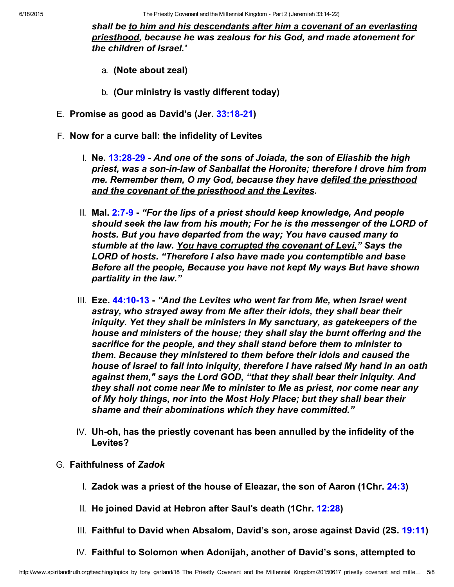6/18/2015 The Priestly Covenant and the Millennial Kingdom Part 2 (Jeremiah 33:1422)

shall be to him and his descendants after him a covenant of an everlasting priesthood, because he was zealous for his God, and made atonement for the children of Israel.'

- a. (Note about zeal)
- b. (Our ministry is vastly different today)
- E. Promise as good as David's (Jer. [33:1821\)](http://www.spiritandtruth.org/bibles/nasb/b24c033.htm#Jer._C33V18)
- F. Now for a curve ball: the infidelity of Levites
	- I. Ne. 13:28-29 And one of the sons of Joiada, the son of Eliashib the high priest, was a son-in-law of Sanballat the Horonite; therefore I drove him from me. Remember them, O my God, because they have defiled the priesthood and the covenant of the priesthood and the Levites.
	- II. Mal.  $2:7-9$  "For the lips of a priest should keep knowledge, And people should seek the law from his mouth; For he is the messenger of the LORD of hosts. But you have departed from the way; You have caused many to stumble at the law. You have corrupted the covenant of Levi," Says the LORD of hosts. "Therefore I also have made you contemptible and base Before all the people, Because you have not kept My ways But have shown partiality in the law."
	- III. Eze. 44:10-13 "And the Levites who went far from Me, when Israel went astray, who strayed away from Me after their idols, they shall bear their iniquity. Yet they shall be ministers in My sanctuary, as gatekeepers of the house and ministers of the house; they shall slay the burnt offering and the sacrifice for the people, and they shall stand before them to minister to them. Because they ministered to them before their idols and caused the house of Israel to fall into iniquity, therefore I have raised My hand in an oath against them," says the Lord GOD, "that they shall bear their iniquity. And they shall not come near Me to minister to Me as priest, nor come near any of My holy things, nor into the Most Holy Place; but they shall bear their shame and their abominations which they have committed."
	- $IV.$  Uh-oh, has the priestly covenant has been annulled by the infidelity of the Levites?
- G. Faithfulness of Zadok
	- I. Zadok was a priest of the house of Eleazar, the son of Aaron (1Chr. [24:3\)](http://www.spiritandtruth.org/bibles/nasb/b13c024.htm#1Chr._C24V3)
	- II. He joined David at Hebron after Saul's death (1Chr. [12:28\)](http://www.spiritandtruth.org/bibles/nasb/b13c012.htm#1Chr._C12V28)
	- III. Faithful to David when Absalom, David's son, arose against David (2S. [19:11\)](http://www.spiritandtruth.org/bibles/nasb/b10c019.htm#2S._C19V11)
	- IV. Faithful to Solomon when Adonijah, another of David's sons, attempted to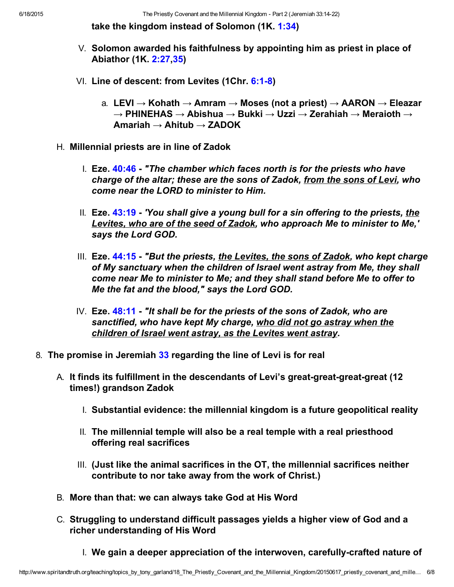take the kingdom instead of Solomon (1K. [1:34\)](http://www.spiritandtruth.org/bibles/nasb/b11c001.htm#1K._C1V34)

- V. Solomon awarded his faithfulness by appointing him as priest in place of Abiathor (1K. [2:27,](http://www.spiritandtruth.org/bibles/nasb/b11c002.htm#1K._C2V27)[35](http://www.spiritandtruth.org/bibles/nasb/b11c002.htm#1K._C2V35))
- VI. Line of descent: from Levites  $(1Chr. 6:1-8)$ 
	- a. LEVI  $\rightarrow$  Kohath  $\rightarrow$  Amram  $\rightarrow$  Moses (not a priest)  $\rightarrow$  AARON  $\rightarrow$  Eleazar  $\rightarrow$  PHINEHAS  $\rightarrow$  Abishua  $\rightarrow$  Bukki  $\rightarrow$  Uzzi  $\rightarrow$  Zerahiah  $\rightarrow$  Meraioth  $\rightarrow$ Amariah  $\rightarrow$  Ahitub  $\rightarrow$  ZADOK
- H. Millennial priests are in line of Zadok
	- I. Eze.  $40:46$  "The chamber which faces north is for the priests who have charge of the altar; these are the sons of Zadok, from the sons of Levi, who come near the LORD to minister to Him.
	- II. Eze. [43:19](http://www.spiritandtruth.org/bibles/nasb/b26c043.htm#Eze._C43V19)  'You shall give a young bull for a sin offering to the priests, the Levites, who are of the seed of Zadok, who approach Me to minister to Me.' says the Lord GOD.
	- III. Eze. [44:15](http://www.spiritandtruth.org/bibles/nasb/b26c044.htm#Eze._C44V15)  "But the priests, the Levites, the sons of Zadok, who kept charge of My sanctuary when the children of Israel went astray from Me, they shall come near Me to minister to Me; and they shall stand before Me to offer to Me the fat and the blood," says the Lord GOD.
	- IV. Eze.  $48:11$  "It shall be for the priests of the sons of Zadok, who are sanctified, who have kept My charge, who did not go astray when the children of Israel went astray, as the Levites went astray.
- 8. The promise in Jeremiah [33](http://www.spiritandtruth.org/bibles/nasb/b24c033.htm#Jer._C33V1) regarding the line of Levi is for real
	- A. It finds its fulfillment in the descendants of Levi's great-great-great-great (12 times!) grandson Zadok
		- I. Substantial evidence: the millennial kingdom is a future geopolitical reality
		- II. The millennial temple will also be a real temple with a real priesthood offering real sacrifices
		- III. (Just like the animal sacrifices in the OT, the millennial sacrifices neither contribute to nor take away from the work of Christ.)
	- B. More than that: we can always take God at His Word
	- C. Struggling to understand difficult passages yields a higher view of God and a richer understanding of His Word
		- $\blacksquare$  We gain a deeper appreciation of the interwoven, carefully-crafted nature of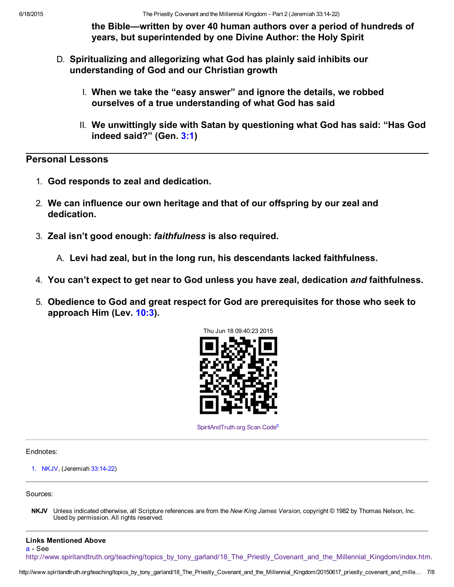the Bible—written by over 40 human authors over a period of hundreds of years, but superintended by one Divine Author: the Holy Spirit

- D. Spiritualizing and allegorizing what God has plainly said inhibits our understanding of God and our Christian growth
	- I. When we take the "easy answer" and ignore the details, we robbed ourselves of a true understanding of what God has said
	- II. We unwittingly side with Satan by questioning what God has said: "Has God indeed said?" (Gen. [3:1\)](http://www.spiritandtruth.org/bibles/nasb/b01c003.htm#Gen._C3V1)

Personal Lessons

- 1. God responds to zeal and dedication.
- 2. We can influence our own heritage and that of our offspring by our zeal and dedication.
- 3. Zeal isn't good enough: faithfulness is also required.

A. Levi had zeal, but in the long run, his descendants lacked faithfulness.

- 4. You can't expect to get near to God unless you have zeal, dedication and faithfulness.
- 5. Obedience to God and great respect for God are prerequisites for those who seek to approach Him (Lev. [10:3\)](http://www.spiritandtruth.org/bibles/nasb/b03c010.htm#Lev._C10V3).



<span id="page-6-2"></span>[SpiritAndTruth.org Scan Code](http://www.spiritandtruth.org/)<sup>[c](#page-7-1)</sup>

Endnotes:

<span id="page-6-1"></span>[1.](#page-1-0) NKJV, (Jeremiah 33:14-22)

Sources:

NKJV Unless indicated otherwise, all Scripture references are from the New King James Version, copyright © 1982 by Thomas Nelson, Inc. Used by permission. All rights reserved.

#### <span id="page-6-0"></span>Links Mentioned Above [a](#page-0-1) - See

[http://www.spiritandtruth.org/teaching/topics\\_by\\_tony\\_garland/18\\_The\\_Priestly\\_Covenant\\_and\\_the\\_Millennial\\_Kingdom/index.htm](http://www.spiritandtruth.org/teaching/topics_by_tony_garland/18_The_Priestly_Covenant_and_the_Millennial_Kingdom/index.htm).

htt[p:](#page-0-0)//www.s[piritandtruth.org/teaching/topics\\_by\\_tony\\_garland](http://www.spiritandtruth.org/id/tg.htm)/18\_The\_Priestly\_Covenant\_and\_the\_Millennial\_Kingdom/20150617\_priestly\_covenant\_and\_mille… 7/8